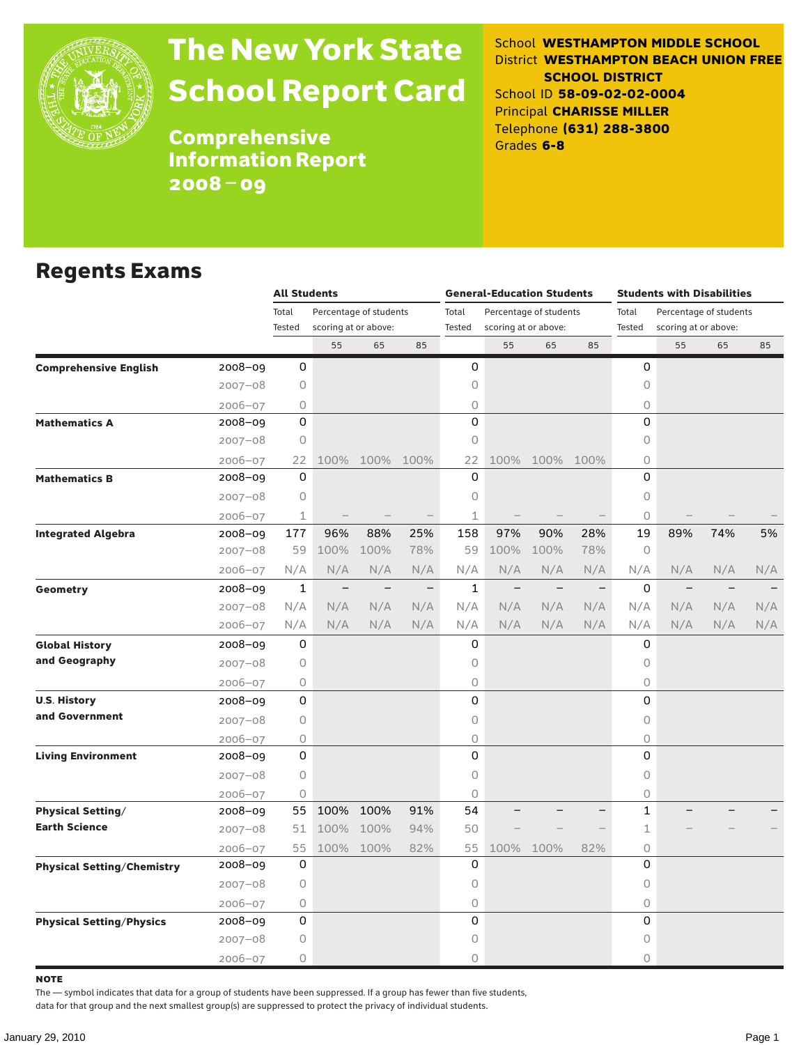

# The New York State School Report Card

School **WESTHAMPTON MIDDLE SCHOOL** District **WESTHAMPTON BEACH UNION FREE SCHOOL DISTRICT** School ID **58-09-02-02-0004** Principal **CHARISSE MILLER** Telephone **(631) 288-3800** Grades **6-8**

**Comprehensive** Information Report 2008–09

#### Regents Exams

|                                   |             | <b>All Students</b> |                                                |                          |                          |              | <b>General-Education Students</b> |                          |                          | <b>Students with Disabilities</b> |                   |     |     |  |
|-----------------------------------|-------------|---------------------|------------------------------------------------|--------------------------|--------------------------|--------------|-----------------------------------|--------------------------|--------------------------|-----------------------------------|-------------------|-----|-----|--|
|                                   |             | Total               | Percentage of students<br>scoring at or above: |                          | Total                    |              | Percentage of students            |                          | Total                    | Percentage of students            |                   |     |     |  |
|                                   |             | Tested              |                                                |                          | Tested                   |              | scoring at or above:              |                          | Tested                   | scoring at or above:              |                   |     |     |  |
|                                   |             |                     | 55                                             | 65                       | 85                       |              | 55                                | 65                       | 85                       |                                   | 55                | 65  | 85  |  |
| <b>Comprehensive English</b>      | 2008-09     | 0                   |                                                |                          |                          | 0            |                                   |                          |                          | 0                                 |                   |     |     |  |
|                                   | $2007 - 08$ | 0                   |                                                |                          |                          | 0            |                                   |                          |                          | $\bigcirc$                        |                   |     |     |  |
|                                   | $2006 - 07$ | 0                   |                                                |                          |                          | 0            |                                   |                          |                          | 0                                 |                   |     |     |  |
| <b>Mathematics A</b>              | 2008-09     | $\mathbf 0$         |                                                |                          |                          | 0            |                                   |                          |                          | 0                                 |                   |     |     |  |
|                                   | $2007 - 08$ | 0                   |                                                |                          |                          | 0            |                                   |                          |                          | $\circ$                           |                   |     |     |  |
|                                   | $2006 - 07$ | 22                  | 100%                                           | 100%                     | 100%                     | 22           | 100%                              | 100% 100%                |                          | $\circ$                           |                   |     |     |  |
| <b>Mathematics B</b>              | 2008-09     | 0                   |                                                |                          |                          | 0            |                                   |                          |                          | 0                                 |                   |     |     |  |
|                                   | $2007 - 08$ | 0                   |                                                |                          |                          | 0            |                                   |                          |                          | 0                                 |                   |     |     |  |
|                                   | $2006 - 07$ | $\mathbf 1$         |                                                |                          |                          | $\mathbf 1$  |                                   |                          |                          | $\circ$                           |                   |     |     |  |
| <b>Integrated Algebra</b>         | $2008 - 09$ | 177                 | 96%                                            | 88%                      | 25%                      | 158          | 97%                               | 90%                      | 28%                      | 19                                | 89%               | 74% | 5%  |  |
|                                   | $2007 - 08$ | 59                  | 100%                                           | 100%                     | 78%                      | 59           | 100%                              | 100%                     | 78%                      | 0                                 |                   |     |     |  |
|                                   | $2006 - 07$ | N/A                 | N/A                                            | N/A                      | N/A                      | N/A          | N/A                               | N/A                      | N/A                      | N/A                               | N/A               | N/A | N/A |  |
| Geometry                          | 2008-09     | 1                   | $\overline{\phantom{a}}$                       | $\overline{\phantom{m}}$ | $\overline{\phantom{m}}$ | $\mathbf{1}$ | $\overline{\phantom{0}}$          | $\overline{\phantom{m}}$ | $\overline{\phantom{m}}$ | 0                                 | $\qquad \qquad -$ |     |     |  |
|                                   | $2007 - 08$ | N/A                 | N/A                                            | N/A                      | N/A                      | N/A          | N/A                               | N/A                      | N/A                      | N/A                               | N/A               | N/A | N/A |  |
|                                   | $2006 - 07$ | N/A                 | N/A                                            | N/A                      | N/A                      | N/A          | N/A                               | N/A                      | N/A                      | N/A                               | N/A               | N/A | N/A |  |
| <b>Global History</b>             | 2008-09     | 0                   |                                                |                          |                          | 0            |                                   |                          |                          | 0                                 |                   |     |     |  |
| and Geography                     | $2007 - 08$ | 0                   |                                                |                          |                          | 0            |                                   |                          |                          | $\circ$                           |                   |     |     |  |
|                                   | $2006 - 07$ | 0                   |                                                |                          |                          | 0            |                                   |                          |                          | $\circ$                           |                   |     |     |  |
| <b>U.S. History</b>               | 2008-09     | $\mathbf 0$         |                                                |                          |                          | 0            |                                   |                          |                          | 0                                 |                   |     |     |  |
| and Government                    | $2007 - 08$ | 0                   |                                                |                          |                          | 0            |                                   |                          |                          | $\circ$                           |                   |     |     |  |
|                                   | 2006-07     | 0                   |                                                |                          |                          | 0            |                                   |                          |                          | 0                                 |                   |     |     |  |
| <b>Living Environment</b>         | 2008-09     | 0                   |                                                |                          |                          | 0            |                                   |                          |                          | 0                                 |                   |     |     |  |
|                                   | $2007 - 08$ | 0                   |                                                |                          |                          | 0            |                                   |                          |                          | $\bigcirc$                        |                   |     |     |  |
|                                   | $2006 - 07$ | 0                   |                                                |                          |                          | 0            |                                   |                          |                          | $\bigcirc$                        |                   |     |     |  |
| <b>Physical Setting/</b>          | 2008-09     | 55                  | 100%                                           | 100%                     | 91%                      | 54           |                                   |                          |                          | $\mathbf{1}$                      |                   |     |     |  |
| <b>Earth Science</b>              | $2007 - 08$ | 51                  | 100%                                           | 100%                     | 94%                      | 50           |                                   |                          |                          | $\mathbf 1$                       |                   |     |     |  |
|                                   | $2006 - 07$ | 55                  |                                                | 100% 100%                | 82%                      | 55           | 100%                              | 100%                     | 82%                      | 0                                 |                   |     |     |  |
| <b>Physical Setting/Chemistry</b> | 2008-09     | 0                   |                                                |                          |                          | 0            |                                   |                          |                          | 0                                 |                   |     |     |  |
|                                   | $2007 - 08$ | $\circ$             |                                                |                          |                          | 0            |                                   |                          |                          | 0                                 |                   |     |     |  |
|                                   | $2006 - 07$ | 0                   |                                                |                          |                          | 0            |                                   |                          |                          | $\circ$                           |                   |     |     |  |
| <b>Physical Setting/Physics</b>   | 2008-09     | 0                   |                                                |                          |                          | $\Omega$     |                                   |                          |                          | $\Omega$                          |                   |     |     |  |
|                                   | $2007 - 08$ | 0                   |                                                |                          |                          | 0            |                                   |                          |                          | 0                                 |                   |     |     |  |
|                                   | $2006 - 07$ | 0                   |                                                |                          |                          | 0            |                                   |                          |                          | 0                                 |                   |     |     |  |

note

The — symbol indicates that data for a group of students have been suppressed. If a group has fewer than five students,

data for that group and the next smallest group(s) are suppressed to protect the privacy of individual students.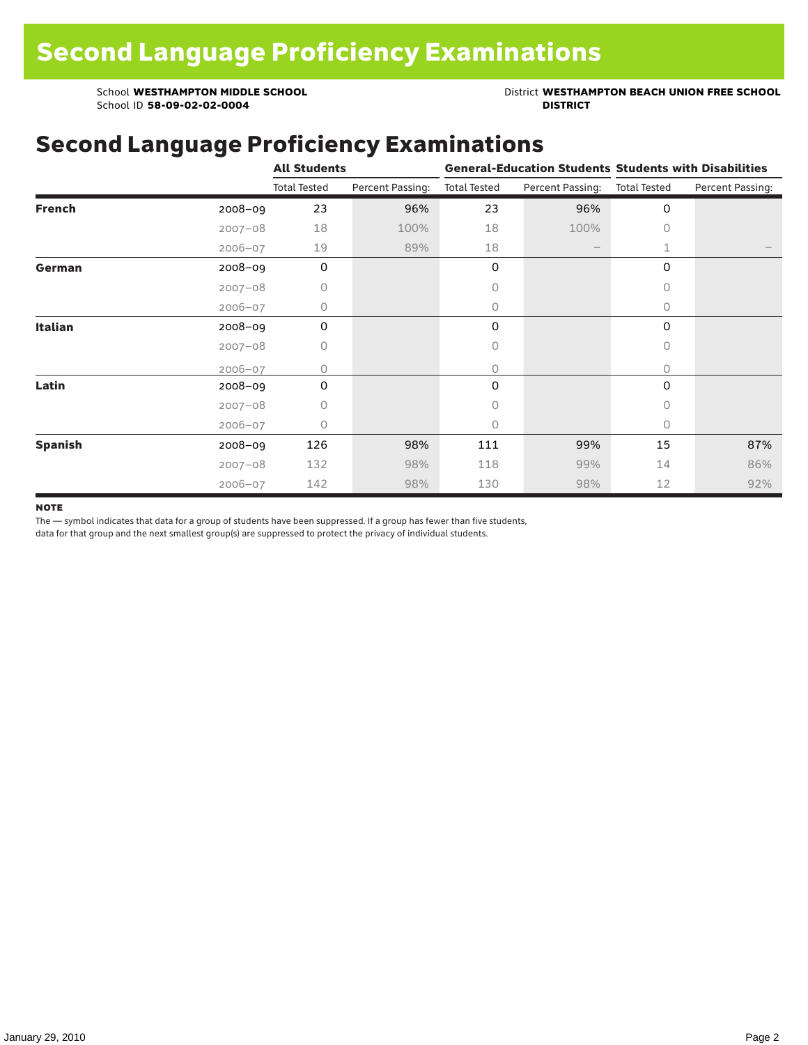School ID 58-09-02-02-0004

School **WESTHAMPTON MIDDLE SCHOOL**<br>School ID 58-09-02-020404<br>DISTRICT DISTRICT

### Second Language Proficiency Examinations

|                |             | <b>All Students</b> |                  |                     |                          | <b>General-Education Students Students with Disabilities</b> |                  |  |  |
|----------------|-------------|---------------------|------------------|---------------------|--------------------------|--------------------------------------------------------------|------------------|--|--|
|                |             | <b>Total Tested</b> | Percent Passing: | <b>Total Tested</b> | Percent Passing:         | <b>Total Tested</b>                                          | Percent Passing: |  |  |
| <b>French</b>  | $2008 - 09$ | 23                  | 96%              | 23                  | 96%                      | 0                                                            |                  |  |  |
|                | $2007 - 08$ | 18                  | 100%             | 18                  | 100%                     | $\circ$                                                      |                  |  |  |
|                | $2006 - 07$ | 19                  | 89%              | 18                  | $\overline{\phantom{m}}$ | 1                                                            |                  |  |  |
| German         | 2008-09     | $\mathbf 0$         |                  | 0                   |                          | 0                                                            |                  |  |  |
|                | $2007 - 08$ | 0                   |                  | 0                   |                          | $\bigcap$                                                    |                  |  |  |
|                | $2006 - 07$ | 0                   |                  | 0                   |                          | $\circ$                                                      |                  |  |  |
| Italian        | 2008-09     | 0                   |                  | 0                   |                          | 0                                                            |                  |  |  |
|                | $2007 - 08$ | 0                   |                  | 0                   |                          | 0                                                            |                  |  |  |
|                | $2006 - 07$ | O                   |                  | 0                   |                          | 0                                                            |                  |  |  |
| Latin          | 2008-09     | 0                   |                  | 0                   |                          | 0                                                            |                  |  |  |
|                | $2007 - 08$ | 0                   |                  | 0                   |                          | $\Omega$                                                     |                  |  |  |
|                | $2006 - 07$ | 0                   |                  | 0                   |                          | $\Omega$                                                     |                  |  |  |
| <b>Spanish</b> | $2008 - 09$ | 126                 | 98%              | 111                 | 99%                      | 15                                                           | 87%              |  |  |
|                | $2007 - 08$ | 132                 | 98%              | 118                 | 99%                      | 14                                                           | 86%              |  |  |
|                | $2006 - 07$ | 142                 | 98%              | 130                 | 98%                      | 12                                                           | 92%              |  |  |

#### **NOTE**

The — symbol indicates that data for a group of students have been suppressed. If a group has fewer than five students,

data for that group and the next smallest group(s) are suppressed to protect the privacy of individual students.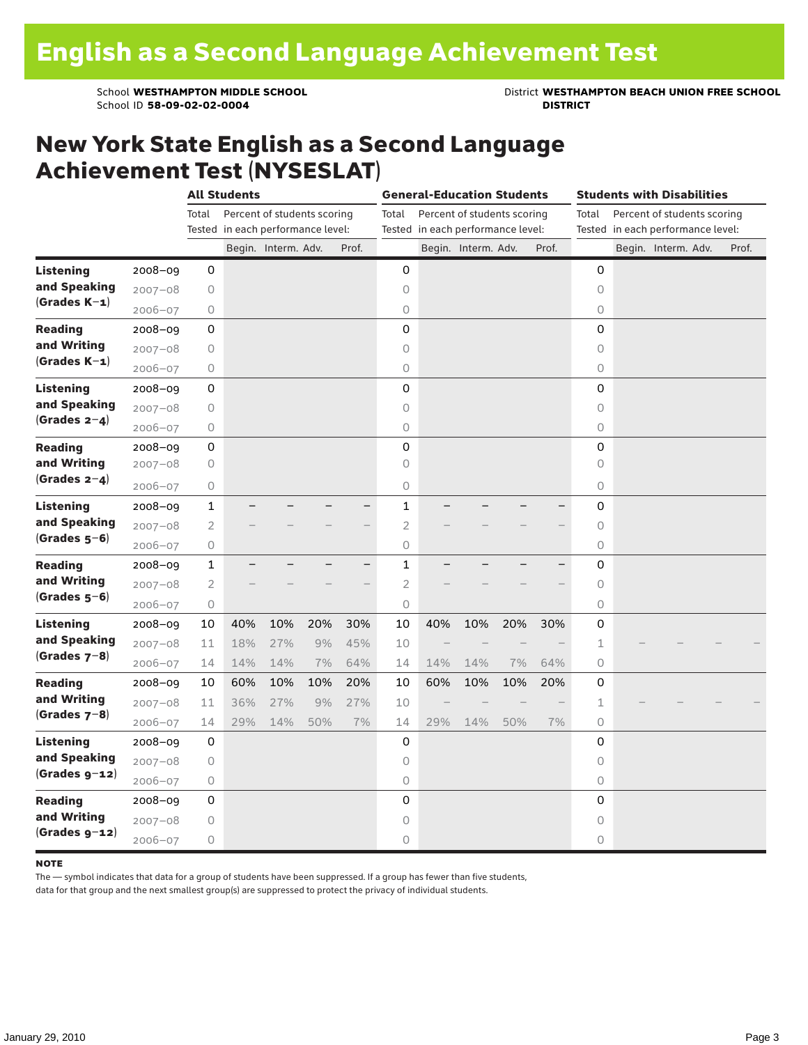School ID 58-09-02-02-0004

School **WESTHAMPTON MIDDLE SCHOOL**<br>School ID 58-09-02-020404<br>**DISTRICT** DISTRICT

### New York State English as a Second Language Achievement Test (NYSESLAT)

|                  |             | <b>All Students</b> |                                   |                             |     |       | <b>General-Education Students</b> |                                   |                             |     |                                   |                     | <b>Students with Disabilities</b> |                             |  |       |  |  |
|------------------|-------------|---------------------|-----------------------------------|-----------------------------|-----|-------|-----------------------------------|-----------------------------------|-----------------------------|-----|-----------------------------------|---------------------|-----------------------------------|-----------------------------|--|-------|--|--|
|                  |             | Total               |                                   | Percent of students scoring |     |       | Total                             |                                   | Percent of students scoring |     |                                   | Total               |                                   | Percent of students scoring |  |       |  |  |
|                  |             |                     | Tested in each performance level: |                             |     |       |                                   | Tested in each performance level: |                             |     | Tested in each performance level: |                     |                                   |                             |  |       |  |  |
|                  |             |                     |                                   | Begin. Interm. Adv.         |     | Prof. |                                   |                                   | Begin. Interm. Adv.         |     | Prof.                             |                     |                                   | Begin. Interm. Adv.         |  | Prof. |  |  |
| <b>Listening</b> | $2008 - 09$ | 0                   |                                   |                             |     |       | 0                                 |                                   |                             |     |                                   | 0                   |                                   |                             |  |       |  |  |
| and Speaking     | $2007 - 08$ | 0                   |                                   |                             |     |       | $\circ$                           |                                   |                             |     |                                   | $\circ$             |                                   |                             |  |       |  |  |
| $(Grades K-1)$   | $2006 - 07$ | 0                   |                                   |                             |     |       | 0                                 |                                   |                             |     |                                   | 0                   |                                   |                             |  |       |  |  |
| <b>Reading</b>   | $2008 - 09$ | 0                   |                                   |                             |     |       | 0                                 |                                   |                             |     |                                   | 0                   |                                   |                             |  |       |  |  |
| and Writing      | $2007 - 08$ | 0                   |                                   |                             |     |       | 0                                 |                                   |                             |     |                                   | $\circ$             |                                   |                             |  |       |  |  |
| $(Grades K-1)$   | $2006 - 07$ | 0                   |                                   |                             |     |       | $\circ$                           |                                   |                             |     |                                   | $\circ$             |                                   |                             |  |       |  |  |
| <b>Listening</b> | $2008 - 09$ | 0                   |                                   |                             |     |       | 0                                 |                                   |                             |     |                                   | 0                   |                                   |                             |  |       |  |  |
| and Speaking     | $2007 - 08$ | $\mathsf O$         |                                   |                             |     |       | $\circ$                           |                                   |                             |     |                                   | $\circ$             |                                   |                             |  |       |  |  |
| $(Grades 2-4)$   | $2006 - 07$ | 0                   |                                   |                             |     |       | $\circ$                           |                                   |                             |     |                                   | $\circ$             |                                   |                             |  |       |  |  |
| <b>Reading</b>   | 2008-09     | 0                   |                                   |                             |     |       | 0                                 |                                   |                             |     |                                   | $\mathbf 0$         |                                   |                             |  |       |  |  |
| and Writing      | $2007 - 08$ | $\mathsf O$         |                                   |                             |     |       | $\circ$                           |                                   |                             |     |                                   | $\circ$             |                                   |                             |  |       |  |  |
| $(Grades 2-4)$   | $2006 - 07$ | 0                   |                                   |                             |     |       | 0                                 |                                   |                             |     |                                   | 0                   |                                   |                             |  |       |  |  |
| <b>Listening</b> | $2008 - 09$ | $\mathbf 1$         |                                   |                             |     | ▃     | $\mathbf{1}$                      |                                   |                             |     |                                   | 0                   |                                   |                             |  |       |  |  |
| and Speaking     | $2007 - 08$ | $\overline{2}$      |                                   |                             |     |       | $\overline{c}$                    |                                   |                             |     |                                   | $\circ$             |                                   |                             |  |       |  |  |
| $(Grades 5-6)$   | $2006 - 07$ | $\mathsf O$         |                                   |                             |     |       | $\circ$                           |                                   |                             |     |                                   | $\circ$             |                                   |                             |  |       |  |  |
| <b>Reading</b>   | $2008 - 09$ | $\mathbf{1}$        |                                   |                             |     |       | $\mathbf{1}$                      |                                   |                             |     |                                   | 0                   |                                   |                             |  |       |  |  |
| and Writing      | $2007 - 08$ | $\overline{2}$      |                                   |                             |     |       | $\overline{2}$                    |                                   |                             |     |                                   | $\circ$             |                                   |                             |  |       |  |  |
| $(Grades 5-6)$   | $2006 - 07$ | 0                   |                                   |                             |     |       | $\circ$                           |                                   |                             |     |                                   | $\circ$             |                                   |                             |  |       |  |  |
| <b>Listening</b> | $2008 - 09$ | 10                  | 40%                               | 10%                         | 20% | 30%   | 10                                | 40%                               | 10%                         | 20% | 30%                               | 0                   |                                   |                             |  |       |  |  |
| and Speaking     | $2007 - 08$ | 11                  | 18%                               | 27%                         | 9%  | 45%   | 10                                |                                   |                             |     |                                   | 1                   |                                   |                             |  |       |  |  |
| $(Grades 7-8)$   | $2006 - 07$ | 14                  | 14%                               | 14%                         | 7%  | 64%   | 14                                | 14%                               | 14%                         | 7%  | 64%                               | $\Omega$            |                                   |                             |  |       |  |  |
| <b>Reading</b>   | 2008-09     | 10                  | 60%                               | 10%                         | 10% | 20%   | 10                                | 60%                               | 10%                         | 10% | 20%                               | 0                   |                                   |                             |  |       |  |  |
| and Writing      | $2007 - 08$ | 11                  | 36%                               | 27%                         | 9%  | 27%   | 10                                |                                   |                             |     |                                   | $\mathbf{1}$        |                                   |                             |  |       |  |  |
| $(Grades 7-8)$   | $2006 - 07$ | 14                  | 29%                               | 14%                         | 50% | 7%    | 14                                | 29%                               | 14%                         | 50% | 7%                                | $\circ$             |                                   |                             |  |       |  |  |
| <b>Listening</b> | $2008 - 09$ | 0                   |                                   |                             |     |       | 0                                 |                                   |                             |     |                                   | 0                   |                                   |                             |  |       |  |  |
| and Speaking     | $2007 - 08$ | $\circ$             |                                   |                             |     |       | $\circ$                           |                                   |                             |     |                                   | $\circ$             |                                   |                             |  |       |  |  |
| $(Grades g-12)$  | $2006 - 07$ | 0                   |                                   |                             |     |       | $\bigcirc$                        |                                   |                             |     |                                   | $\circlearrowright$ |                                   |                             |  |       |  |  |
| <b>Reading</b>   | $2008 - 09$ | 0                   |                                   |                             |     |       | 0                                 |                                   |                             |     |                                   | 0                   |                                   |                             |  |       |  |  |
| and Writing      | $2007 - 08$ | $\mathsf O$         |                                   |                             |     |       | $\circ$                           |                                   |                             |     |                                   | $\circ$             |                                   |                             |  |       |  |  |
| $(Grades g-12)$  | $2006 - 07$ | 0                   |                                   |                             |     |       | 0                                 |                                   |                             |     |                                   | $\circ$             |                                   |                             |  |       |  |  |

#### **NOTE**

The — symbol indicates that data for a group of students have been suppressed. If a group has fewer than five students,

data for that group and the next smallest group(s) are suppressed to protect the privacy of individual students.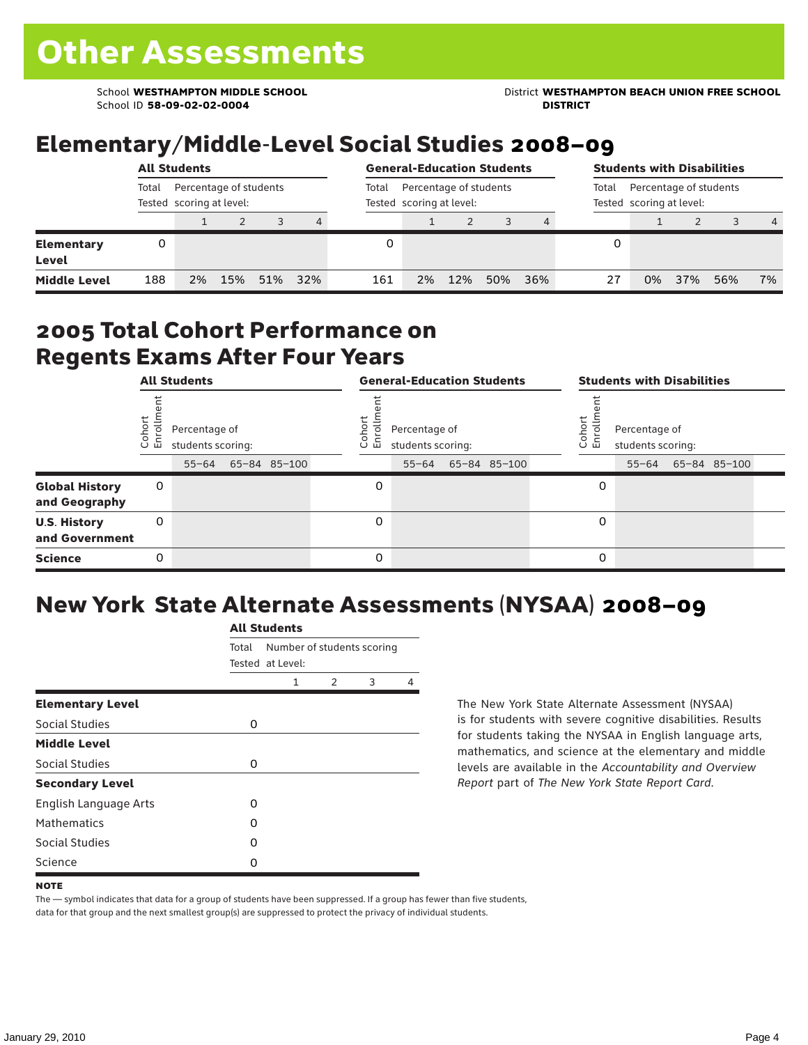School ID **58-09-02-02-0004 DISTRICT**

School **WESTHAMPTON MIDDLE SCHOOL** District **WESTHAMPTON BEACH UNION FREE SCHOOL**

## Elementary/Middle-Level Social Studies 2008–09

|                            |       | <b>All Students</b>                                |     |     |     |     | <b>General-Education Students</b><br>Percentage of students<br>Total<br>Tested scoring at level: |     |     |     |    |    | <b>Students with Disabilities</b>                           |     |                |  |  |  |  |
|----------------------------|-------|----------------------------------------------------|-----|-----|-----|-----|--------------------------------------------------------------------------------------------------|-----|-----|-----|----|----|-------------------------------------------------------------|-----|----------------|--|--|--|--|
|                            | Total | Percentage of students<br>Tested scoring at level: |     |     |     |     |                                                                                                  |     |     |     |    |    | Percentage of students<br>Total<br>Tested scoring at level: |     |                |  |  |  |  |
|                            |       |                                                    |     |     | 4   |     |                                                                                                  |     |     |     |    |    |                                                             |     | $\overline{4}$ |  |  |  |  |
| <b>Elementary</b><br>Level | 0     |                                                    |     |     |     |     |                                                                                                  |     |     |     | 0  |    |                                                             |     |                |  |  |  |  |
| <b>Middle Level</b>        | 188   | 2%                                                 | 15% | 51% | 32% | 161 | 2%                                                                                               | 12% | 50% | 36% | 27 | 0% | 37%                                                         | 56% | 7%             |  |  |  |  |

#### 2005 Total Cohort Performance on Regents Exams After Four Years

|                                        |                   | <b>All Students</b>                             |              |                      | <b>General-Education Students</b>               |              | <b>Students with Disabilities</b> |                                    |  |                    |  |  |
|----------------------------------------|-------------------|-------------------------------------------------|--------------|----------------------|-------------------------------------------------|--------------|-----------------------------------|------------------------------------|--|--------------------|--|--|
|                                        | Cohort<br>Enrollm | Percentage of<br>students scoring:<br>$55 - 64$ | 65-84 85-100 | Coho<br>$\circ$<br>ᇛ | Percentage of<br>students scoring:<br>$55 - 64$ | 65-84 85-100 | Cohor<br>ò,<br>문                  | Percentage of<br>students scoring: |  | 55-64 65-84 85-100 |  |  |
| <b>Global History</b><br>and Geography | 0                 |                                                 |              | 0                    |                                                 |              | 0                                 |                                    |  |                    |  |  |
| <b>U.S. History</b><br>and Government  | 0                 |                                                 |              | $\Omega$             |                                                 |              | 0                                 |                                    |  |                    |  |  |
| <b>Science</b>                         | 0                 |                                                 |              | $\Omega$             |                                                 |              | 0                                 |                                    |  |                    |  |  |

## New York State Alternate Assessments (NYSAA) 2008–09

|                         | <b>All Students</b> |                            |               |   |   |  |  |  |  |  |
|-------------------------|---------------------|----------------------------|---------------|---|---|--|--|--|--|--|
|                         | Total               | Number of students scoring |               |   |   |  |  |  |  |  |
|                         |                     | Tested at Level:           |               |   |   |  |  |  |  |  |
|                         |                     | 1                          | $\mathcal{P}$ | 3 | 4 |  |  |  |  |  |
| <b>Elementary Level</b> |                     |                            |               |   |   |  |  |  |  |  |
| Social Studies          | 0                   |                            |               |   |   |  |  |  |  |  |
| <b>Middle Level</b>     |                     |                            |               |   |   |  |  |  |  |  |
| Social Studies          | 0                   |                            |               |   |   |  |  |  |  |  |
| <b>Secondary Level</b>  |                     |                            |               |   |   |  |  |  |  |  |
| English Language Arts   | O                   |                            |               |   |   |  |  |  |  |  |
| <b>Mathematics</b>      | O                   |                            |               |   |   |  |  |  |  |  |
| Social Studies          | O                   |                            |               |   |   |  |  |  |  |  |
| Science                 | Ω                   |                            |               |   |   |  |  |  |  |  |

The New York State Alternate Assessment (NYSAA) is for students with severe cognitive disabilities. Results for students taking the NYSAA in English language arts, mathematics, and science at the elementary and middle levels are available in the *Accountability and Overview Report* part of *The New York State Report Card*.

The — symbol indicates that data for a group of students have been suppressed. If a group has fewer than five students, data for that group and the next smallest group(s) are suppressed to protect the privacy of individual students.

**NOTE**